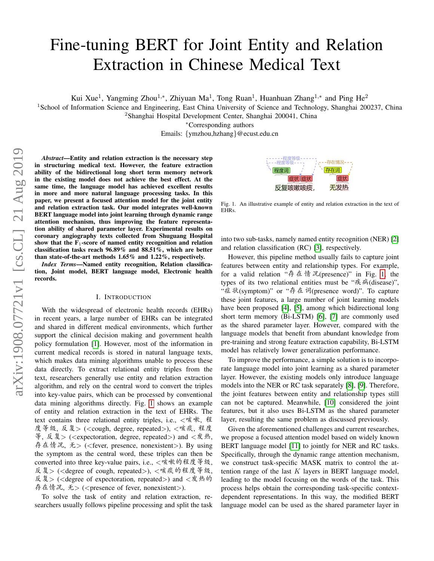# Fine-tuning BERT for Joint Entity and Relation Extraction in Chinese Medical Text

Kui Xue<sup>1</sup>, Yangming Zhou<sup>1,\*</sup>, Zhiyuan Ma<sup>1</sup>, Tong Ruan<sup>1</sup>, Huanhuan Zhang<sup>1,\*</sup> and Ping He<sup>2</sup>

<sup>1</sup>School of Information Science and Engineering, East China University of Science and Technology, Shanghai 200237, China

<sup>2</sup>Shanghai Hospital Development Center, Shanghai 200041, China

<sup>∗</sup>Corresponding authors

Emails: {ymzhou,hzhang}@ecust.edu.cn

*Abstract*—Entity and relation extraction is the necessary step in structuring medical text. However, the feature extraction ability of the bidirectional long short term memory network in the existing model does not achieve the best effect. At the same time, the language model has achieved excellent results in more and more natural language processing tasks. In this paper, we present a focused attention model for the joint entity and relation extraction task. Our model integrates well-known BERT language model into joint learning through dynamic range attention mechanism, thus improving the feature representation ability of shared parameter layer. Experimental results on coronary angiography texts collected from Shuguang Hospital show that the  $F_1$ -score of named entity recognition and relation classification tasks reach 96.89% and 88.51%, which are better than state-of-the-art methods 1.65% and 1.22%, respectively.

*Index Terms*—Named entity recognition, Relation classification, Joint model, BERT language model, Electronic health records.

#### I. INTRODUCTION

With the widespread of electronic health records (EHRs) in recent years, a large number of EHRs can be integrated and shared in different medical environments, which further support the clinical decision making and government health policy formulation [\[1\]](#page-7-0). However, most of the information in current medical records is stored in natural language texts, which makes data mining algorithms unable to process these data directly. To extract relational entity triples from the text, researchers generally use entity and relation extraction algorithm, and rely on the central word to convert the triples into key-value pairs, which can be processed by conventional data mining algorithms directly. Fig. [1](#page-0-0) shows an example of entity and relation extraction in the text of EHRs. The text contains three relational entity triples, i.e., <sup>&</sup>lt;咳嗽, 程 <sup>度</sup>等级, <sup>反</sup>复<sup>&</sup>gt; (<cough, degree, repeated>), <sup>&</sup>lt;咳痰, 程<sup>度</sup> 等, 反复 > (<expectoration, degree, repeated >) and <发热, 存在情况, 无> (<fever, presence, nonexistent>). By using the symptom as the central word, these triples can then be converted into three key-value pairs, i.e., <sup>&</sup>lt;咳嗽的程度等级, <sup>反</sup>复<sup>&</sup>gt; (<degree of cough, repeated>), <sup>&</sup>lt;咳痰的程度等级, 反复 > (<degree of expectoration, repeated >) and <发热的 存在情况, 无> (<presence of fever, nonexistent>).

To solve the task of entity and relation extraction, researchers usually follows pipeline processing and split the task



<span id="page-0-0"></span>Fig. 1. An illustrative example of entity and relation extraction in the text of EHRs.

into two sub-tasks, namely named entity recognition (NER) [\[2\]](#page-7-1) and relation classification (RC) [\[3\]](#page-7-2), respectively.

However, this pipeline method usually fails to capture joint features between entity and relationship types. For example, for a valid relation "存在情况(presence)" in Fig. [1,](#page-0-0) the types of its two relational entities must be "疾病(disease)", "症状(symptom)" or "存在词(presence word)". To capture these joint features, a large number of joint learning models have been proposed [\[4\]](#page-7-3), [\[5\]](#page-7-4), among which bidirectional long short term memory (Bi-LSTM) [\[6\]](#page-7-5), [\[7\]](#page-7-6) are commonly used as the shared parameter layer. However, compared with the language models that benefit from abundant knowledge from pre-training and strong feature extraction capability, Bi-LSTM model has relatively lower generalization performance.

To improve the performance, a simple solution is to incorporate language model into joint learning as a shared parameter layer. However, the existing models only introduce language models into the NER or RC task separately [\[8\]](#page-7-7), [\[9\]](#page-7-8). Therefore, the joint features between entity and relationship types still can not be captured. Meanwhile, [\[10\]](#page-7-9) considered the joint features, but it also uses Bi-LSTM as the shared parameter layer, resulting the same problem as discussed previously.

Given the aforementioned challenges and current researches, we propose a focused attention model based on widely known BERT language model [\[11\]](#page-7-10) to jointly for NER and RC tasks. Specifically, through the dynamic range attention mechanism, we construct task-specific MASK matrix to control the attention range of the last  $K$  layers in BERT language model, leading to the model focusing on the words of the task. This process helps obtain the corresponding task-specific contextdependent representations. In this way, the modified BERT language model can be used as the shared parameter layer in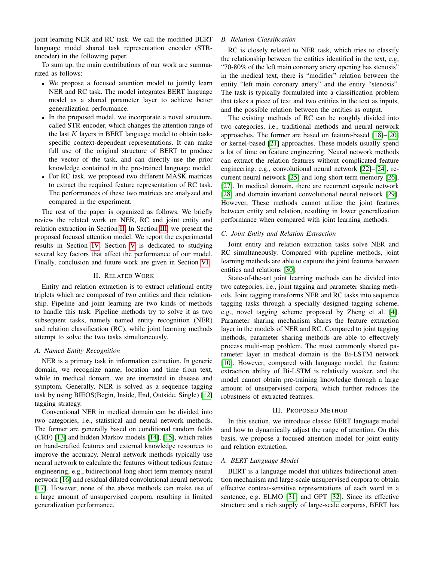joint learning NER and RC task. We call the modified BERT language model shared task representation encoder (STRencoder) in the following paper.

To sum up, the main contributions of our work are summarized as follows:

- We propose a focused attention model to jointly learn NER and RC task. The model integrates BERT language model as a shared parameter layer to achieve better generalization performance.
- In the proposed model, we incorporate a novel structure, called STR-encoder, which changes the attention range of the last  $K$  layers in BERT language model to obtain taskspecific context-dependent representations. It can make full use of the original structure of BERT to produce the vector of the task, and can directly use the prior knowledge contained in the pre-trained language model.
- For RC task, we proposed two different MASK matrices to extract the required feature representation of RC task. The performances of these two matrices are analyzed and compared in the experiment.

The rest of the paper is organized as follows. We briefly review the related work on NER, RC and joint entity and relation extraction in Section [II.](#page-1-0) In Section [III,](#page-1-1) we present the proposed focused attention model. We report the experimental results in Section [IV.](#page-4-0) Section [V](#page-5-0) is dedicated to studying several key factors that affect the performance of our model. Finally, conclusion and future work are given in Section [VI.](#page-6-0)

## II. RELATED WORK

<span id="page-1-0"></span>Entity and relation extraction is to extract relational entity triplets which are composed of two entities and their relationship. Pipeline and joint learning are two kinds of methods to handle this task. Pipeline methods try to solve it as two subsequent tasks, namely named entity recognition (NER) and relation classification (RC), while joint learning methods attempt to solve the two tasks simultaneously.

#### *A. Named Entity Recognition*

NER is a primary task in information extraction. In generic domain, we recognize name, location and time from text, while in medical domain, we are interested in disease and symptom. Generally, NER is solved as a sequence tagging task by using BIEOS(Begin, Inside, End, Outside, Single) [\[12\]](#page-7-11) tagging strategy.

Conventional NER in medical domain can be divided into two categories, i.e., statistical and neural network methods. The former are generally based on conditional random fields (CRF) [\[13\]](#page-7-12) and hidden Markov models [\[14\]](#page-7-13), [\[15\]](#page-7-14), which relies on hand-crafted features and external knowledge resources to improve the accuracy. Neural network methods typically use neural network to calculate the features without tedious feature engineering, e.g., bidirectional long short term memory neural network [\[16\]](#page-7-15) and residual dilated convolutional neural network [\[17\]](#page-7-16). However, none of the above methods can make use of a large amount of unsupervised corpora, resulting in limited generalization performance.

# *B. Relation Classification*

RC is closely related to NER task, which tries to classify the relationship between the entities identified in the text, e.g, "70-80% of the left main coronary artery opening has stenosis" in the medical text, there is "modifier" relation between the entity "left main coronary artery" and the entity "stenosis". The task is typically formulated into a classification problem that takes a piece of text and two entities in the text as inputs, and the possible relation between the entities as output.

The existing methods of RC can be roughly divided into two categories, i.e., traditional methods and neural network approaches. The former are based on feature-based [\[18\]](#page-7-17)–[\[20\]](#page-7-18) or kernel-based [\[21\]](#page-7-19) approaches. These models usually spend a lot of time on feature engineering. Neural network methods can extract the relation features without complicated feature engineering. e.g., convolutional neural network [\[22\]](#page-7-20)–[\[24\]](#page-7-21), recurrent neural network [\[25\]](#page-7-22) and long short term memory [\[26\]](#page-7-23), [\[27\]](#page-7-24). In medical domain, there are recurrent capsule network [\[28\]](#page-7-25) and domain invariant convolutional neural network [\[29\]](#page-7-26). However, These methods cannot utilize the joint features between entity and relation, resulting in lower generalization performance when compared with joint learning methods.

## *C. Joint Entity and Relation Extraction*

Joint entity and relation extraction tasks solve NER and RC simultaneously. Compared with pipeline methods, joint learning methods are able to capture the joint features between entities and relations [\[30\]](#page-7-27).

State-of-the-art joint learning methods can be divided into two categories, i.e., joint tagging and parameter sharing methods. Joint tagging transforms NER and RC tasks into sequence tagging tasks through a specially designed tagging scheme, e.g., novel tagging scheme proposed by Zheng et al. [\[4\]](#page-7-3). Parameter sharing mechanism shares the feature extraction layer in the models of NER and RC. Compared to joint tagging methods, parameter sharing methods are able to effectively process multi-map problem. The most commonly shared parameter layer in medical domain is the Bi-LSTM network [\[10\]](#page-7-9). However, compared with language model, the feature extraction ability of Bi-LSTM is relatively weaker, and the model cannot obtain pre-training knowledge through a large amount of unsupervised corpora, which further reduces the robustness of extracted features.

## III. PROPOSED METHOD

<span id="page-1-1"></span>In this section, we introduce classic BERT language model and how to dynamically adjust the range of attention. On this basis, we propose a focused attention model for joint entity and relation extraction.

#### *A. BERT Language Model*

BERT is a language model that utilizes bidirectional attention mechanism and large-scale unsupervised corpora to obtain effective context-sensitive representations of each word in a sentence, e.g. ELMO [\[31\]](#page-7-28) and GPT [\[32\]](#page-7-29). Since its effective structure and a rich supply of large-scale corporas, BERT has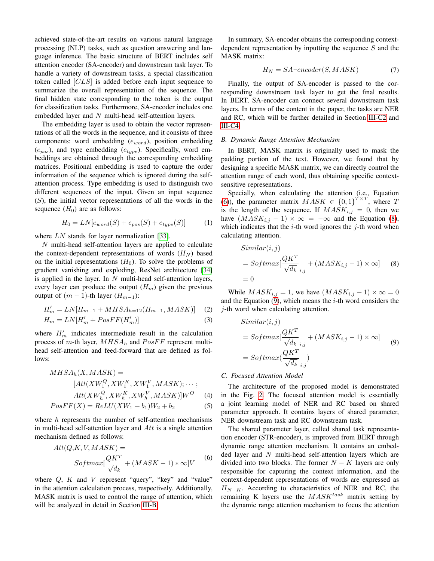achieved state-of-the-art results on various natural language processing (NLP) tasks, such as question answering and language inference. The basic structure of BERT includes self attention encoder (SA-encoder) and downstream task layer. To handle a variety of downstream tasks, a special classification token called [CLS] is added before each input sequence to summarize the overall representation of the sequence. The final hidden state corresponding to the token is the output for classification tasks. Furthermore, SA-encoder includes one embedded layer and N multi-head self-attention layers.

The embedding layer is used to obtain the vector representations of all the words in the sequence, and it consists of three components: word embedding  $(e_{word})$ , position embedding  $(e_{pos})$ , and type embedding  $(e_{type})$ . Specifically, word embeddings are obtained through the corresponding embedding matrices. Positional embedding is used to capture the order information of the sequence which is ignored during the selfattention process. Type embedding is used to distinguish two different sequences of the input. Given an input sequence  $(S)$ , the initial vector representations of all the words in the sequence  $(H_0)$  are as follows:

<span id="page-2-4"></span>
$$
H_0 = LN[e_{word}(S) + e_{pos}(S) + e_{type}(S)] \tag{1}
$$

where LN stands for layer normalization [\[33\]](#page-7-30).

 $N$  multi-head self-attention layers are applied to calculate the context-dependent representations of words  $(H_N)$  based on the initial representations  $(H_0)$ . To solve the problems of gradient vanishing and exploding, ResNet architecture [\[34\]](#page-7-31) is applied in the layer. In  $N$  multi-head self-attention layers, every layer can produce the output  $(H_m)$  given the previous output of  $(m - 1)$ -th layer  $(H_{m-1})$ :

$$
H'_{m} = LN[H_{m-1} + MHSA_{h=12}(H_{m-1}, MASK)] \quad (2)
$$

$$
H_m = LN[H'_m + PosFF(H'_m)]
$$
\n(3)

where  $H'_m$  indicates intermediate result in the calculation process of m-th layer,  $MHSA_h$  and  $PosFF$  represent multihead self-attention and feed-forward that are defined as follows:

$$
MHSA_h(X, MASK) =
$$
  
\n
$$
[Att(XW_1^Q, XW_1^K, XW_1^V, MASK); \cdots;
$$
  
\n
$$
Att(XW_1^Q, XW_1^K, XW_1^V, MASK)]W^O
$$
 (4)

$$
PosFF(X) = ReLU(XW_1 + b_1)W_2 + b_2
$$
\n<sup>(5)</sup>

where  $h$  represents the number of self-attention mechanisms in multi-head self-attention layer and  $Att$  is a single attention mechanism defined as follows:

<span id="page-2-1"></span>
$$
Att(Q, K, V, MASK) =
$$
  

$$
Softmax[\frac{QK^{T}}{\sqrt{d_k}} + (MASK - 1) * \infty]V
$$
 (6)

where  $Q$ ,  $K$  and  $V$  represent "query", "key" and "value" in the attention calculation process, respectively. Additionally, MASK matrix is used to control the range of attention, which will be analyzed in detail in Section [III-B.](#page-2-0)

In summary, SA-encoder obtains the corresponding contextdependent representation by inputting the sequence  $S$  and the MASK matrix:

$$
H_N = SA\text{-}encoder(S, MASK) \tag{7}
$$

Finally, the output of SA-encoder is passed to the corresponding downstream task layer to get the final results. In BERT, SA-encoder can connect several downstream task layers. In terms of the content in the paper, the tasks are NER and RC, which will be further detailed in Section [III-C2](#page-3-0) and [III-C4.](#page-4-1)

# <span id="page-2-0"></span>*B. Dynamic Range Attention Mechanism*

In BERT, MASK matrix is originally used to mask the padding portion of the text. However, we found that by designing a specific MASK matrix, we can directly control the attention range of each word, thus obtaining specific contextsensitive representations.

Specially, when calculating the attention (i.e., Equation [\(6\)](#page-2-1)), the parameter matrix  $MASK \in \{0,1\}^{T \times T}$  $\mu'$ , where T is the length of the sequence. If  $MASK_{i,j} = 0$ , then we have  $(MASK_{i,j} - 1) \times \infty = -\infty$  and the Equation [\(8\)](#page-2-2), which indicates that the  $i$ -th word ignores the  $j$ -th word when calculating attention.

<span id="page-2-2"></span>
$$
Similar(i, j)
$$
  
=  $Softmax[\frac{QK^T}{\sqrt{d_k}}_{i,j} + (MASK_{i,j} - 1) \times \infty]$  (8)  
= 0

While  $MASK_{i,j} = 1$ , we have  $(MASK_{i,j} - 1) \times \infty = 0$ and the Equation  $(9)$ , which means the *i*-th word considers the  $j$ -th word when calculating attention.

<span id="page-2-3"></span>
$$
Similar(i, j)
$$
  
=  $Softmax[\frac{QK^T}{\sqrt{d_k}}_{i,j} + (MASK_{i,j} - 1) \times \infty]$  (9)  
=  $Softmax(\frac{QK^T}{\sqrt{d_k}}_{i,j})$ 

## <span id="page-2-5"></span>*C. Focused Attention Model*

The architecture of the proposed model is demonstrated in the Fig. [2.](#page-3-1) The focused attention model is essentially a joint learning model of NER and RC based on shared parameter approach. It contains layers of shared parameter, NER downstream task and RC downstream task.

The shared parameter layer, called shared task representation encoder (STR-encoder), is improved from BERT through dynamic range attention mechanism. It contains an embedded layer and N multi-head self-attention layers which are divided into two blocks. The former  $N - K$  layers are only responsible for capturing the context information, and the context-dependent representations of words are expressed as  $H_{N-K}$ . According to characteristics of NER and RC, the remaining K layers use the  $MASK^{task}$  matrix setting by the dynamic range attention mechanism to focus the attention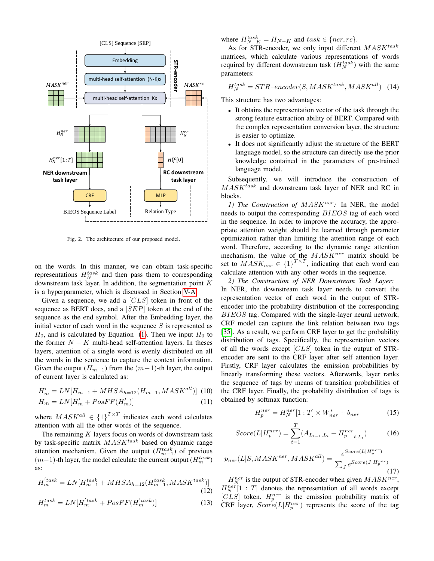

<span id="page-3-1"></span>Fig. 2. The architecture of our proposed model.

on the words. In this manner, we can obtain task-specific representations  $H_N^{task}$  and then pass them to corresponding downstream task layer. In addition, the segmentation point K is a hyperparameter, which is discussed in Section [V-A.](#page-5-1)

Given a sequence, we add a [CLS] token in front of the sequence as BERT does, and a [SEP] token at the end of the sequence as the end symbol. After the Embedding layer, the initial vector of each word in the sequence  $S$  is represented as  $H_0$ , and is calculated by Equation [\(1\)](#page-2-4). Then we input  $H_0$  to the former  $N - K$  multi-head self-attention layers. In theses layers, attention of a single word is evenly distributed on all the words in the sentence to capture the context information. Given the output ( $H_{m-1}$ ) from the  $(m-1)$ -th layer, the output of current layer is calculated as:

$$
H'_{m} = LN[H_{m-1} + MHSA_{h=12}(H_{m-1}, MASK^{all})]
$$
 (10)  

$$
H_{m} = LN[H'_{m} + PosFF(H'_{m})]
$$
 (11)

where  $MASK^{all} \in {1}^{T \times T}$  indicates each word calculates attention with all the other words of the sequence.

The remaining  $K$  layers focus on words of downstream task by task-specific matrix  $MASK^{task}$  based on dynamic range attention mechanism. Given the output  $(H_{m-1}^{task})$  of previous  $(m-1)$ -th layer, the model calculate the current output  $(H_m^{task})$ as:

$$
H_{m}^{'task} = LN[H_{m-1}^{task} + MHSA_{h=12}(H_{m-1}^{task}, MASK^{task})]
$$
\n(12)

$$
H_m^{task} = LN[H_m^{'task} + PosFF(H_m^{'task})]
$$
\n(13)

where  $H_{N-K}^{task} = H_{N-K}$  and  $task \in \{ner, rc\}$ .

As for STR-encoder, we only input different  $MASK^{task}$ matrices, which calculate various representations of words required by different downstream task  $(H_N^{task})$  with the same parameters:

$$
H_N^{task} = STR\text{-encoder}(S, MASK^{task}, MASK^{all}) \quad (14)
$$

This structure has two advantages:

- It obtains the representation vector of the task through the strong feature extraction ability of BERT. Compared with the complex representation conversion layer, the structure is easier to optimize.
- It does not significantly adjust the structure of the BERT language model, so the structure can directly use the prior knowledge contained in the parameters of pre-trained language model.

Subsequently, we will introduce the construction of  $MASK$ <sup>task</sup> and downstream task layer of NER and RC in blocks.

1) The Construction of  $MASK^{ner}$ : In NER, the model needs to output the corresponding BIEOS tag of each word in the sequence. In order to improve the accuracy, the appropriate attention weight should be learned through parameter optimization rather than limiting the attention range of each word. Therefore, according to the dynamic range attention mechanism, the value of the  $MASK^{ner}$  matrix should be set to  $MASK_{ner} \in \{1\}^{T \times T}$ , indicating that each word can calculate attention with any other words in the sequence.

<span id="page-3-0"></span>*2) The Construction of NER Downstream Task Layer:* In NER, the downstream task layer needs to convert the representation vector of each word in the output of STRencoder into the probability distribution of the corresponding BIEOS tag. Compared with the single-layer neural network, CRF model can capture the link relation between two tags [\[35\]](#page-7-32). As a result, we perform CRF layer to get the probability distribution of tags. Specifically, the representation vectors of all the words except [CLS] token in the output of STRencoder are sent to the CRF layer after self attention layer. Firstly, CRF layer calculates the emission probabilities by linearly transforming these vectors. Afterwards, layer ranks the sequence of tags by means of transition probabilities of the CRF layer. Finally, the probability distribution of tags is obtained by softmax function:

$$
H_p^{ner} = H_N^{ner}[1:T] \times W_{ner}^* + b_{ner}
$$
 (15)

$$
Score(L|H_p^{ner}) = \sum_{t=1}^{T} (A_{L_{t-1},L_t} + H_p^{ner}_{t,L_t})
$$
 (16)

$$
p_{ner}(L|S, MASK^{ner}, MASK^{all}) = \frac{e^{Score(L|H_p^{ner})}}{\sum_{J} e^{Score(J|H_p^{ner})}}
$$
\n(17)

 $H_N^{ner}$  is the output of STR-encoder when given  $MASK^{ner}$ ,  $H_N^{ner}[1:T]$  denotes the representation of all words except [CLS] token.  $H_p^{ner}$  is the emission probability matrix of CRF layer,  $Score(L|H_p^{ner})$  represents the score of the tag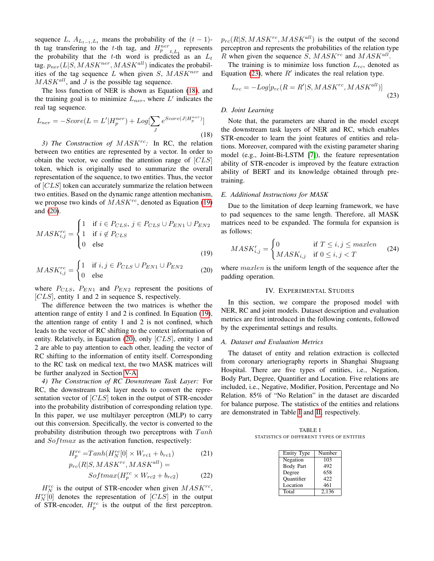sequence L,  $A_{L_{t-1},L_t}$  means the probability of the  $(t-1)$ th tag transfering to the t-th tag, and  $H_{p_{t}}^{ner}$ , represents the probability that the t-th word is predicted as an  $L_t$ tag.  $p_{ner}(L|S, MASK^{ner}, MASK^{all})$  indicates the probabilities of the tag sequence  $L$  when given  $S$ ,  $MASK^{ner}$  and  $MASK$ <sup>all</sup>, and J is the possible tag sequence.

The loss function of NER is shown as Equation [\(18\)](#page-4-2), and the training goal is to minimize  $L_{ner}$ , where  $L'$  indicates the real tag sequence.

<span id="page-4-2"></span>
$$
L_{ner} = -Score(L = L'|H_p^{ner}) + Log[\sum_{J} e^{Score(J|H_p^{ner})}]
$$
\n(18)

<span id="page-4-7"></span>3) The Construction of MASK<sup>rc</sup>: In RC, the relation between two entities are represented by a vector. In order to obtain the vector, we confine the attention range of  $[CLS]$ token, which is originally used to summarize the overall representation of the sequence, to two entities. Thus, the vector of [CLS] token can accurately summarize the relation between two entities. Based on the dynamic range attention mechanism, we propose two kinds of  $MASK^{rc}$ , denoted as Equation [\(19\)](#page-4-3) and [\(20\)](#page-4-4).

$$
MASK_{i,j}^{rc} = \begin{cases} 1 & \text{if } i \in P_{CLS}, j \in P_{CLS} \cup P_{EN1} \cup P_{EN2} \\ 1 & \text{if } i \notin P_{CLS} \\ 0 & \text{else} \end{cases}
$$
(19)

$$
MASK_{i,j}^{rc} = \begin{cases} 1 & \text{if } i, j \in P_{CLS} \cup P_{EN1} \cup P_{EN2} \\ 0 & \text{else} \end{cases}
$$
 (20)

where  $P_{CLS}$ ,  $P_{EN1}$  and  $P_{EN2}$  represent the positions of [CLS], entity 1 and 2 in sequence S, respectively.

The difference between the two matrices is whether the attention range of entity 1 and 2 is confined. In Equation [\(19\)](#page-4-3), the attention range of entity 1 and 2 is not confined, which leads to the vector of RC shifting to the context information of entity. Relatively, in Equation [\(20\)](#page-4-4), only [CLS], entity 1 and 2 are able to pay attention to each other, leading the vector of RC shifting to the information of entity itself. Corresponding to the RC task on medical text, the two MASK matrices will be further analyzed in Section [V-A.](#page-5-1)

<span id="page-4-1"></span>*4) The Construction of RC Downstream Task Layer:* For RC, the downstream task layer needs to convert the representation vector of [CLS] token in the output of STR-encoder into the probability distribution of corresponding relation type. In this paper, we use multilayer perceptron (MLP) to carry out this conversion. Specifically, the vector is converted to the probability distribution through two perceptrons with  $Tanh$ and  $Softmax$  as the activation function, respectively:

Hrc <sup>p</sup> =T anh(Hrc <sup>N</sup> [0] × Wrc<sup>1</sup> + brc1) (21) prc(R|S, MASKrc, MASKall) =

$$
P_{2}(R|\beta, MA\beta K, MA\beta K) =
$$

$$
Softmax(H_p^{rc} \times W_{rc2} + b_{rc2})
$$
 (22)

 $H_N^{rc}$  is the output of STR-encoder when given  $MASK^{rc}$ ,  $H_N^{rc}[0]$  denotes the representation of  $[CLS]$  in the output of STR-encoder,  $H_p^{rc}$  is the output of the first perceptron.  $p_{rc}(R|S, MASK^{rc}, MASK^{all})$  is the output of the second perceptron and represents the probabilities of the relation type R when given the sequence  $S$ ,  $MASK^{rc}$  and  $MASK^{all}$ .

The training is to minimize loss function  $L_{rc}$ , denoted as Equation [\(23\)](#page-4-5), where  $R'$  indicates the real relation type.

<span id="page-4-5"></span>
$$
L_{rc} = -Log[p_{rc}(R = R'|S, MASK^{rc}, MASK^{all})]
$$
\n(23)

## *D. Joint Learning*

Note that, the parameters are shared in the model except the downstream task layers of NER and RC, which enables STR-encoder to learn the joint features of entities and relations. Moreover, compared with the existing parameter sharing model (e.g., Joint-Bi-LSTM [\[7\]](#page-7-6)), the feature representation ability of STR-encoder is improved by the feature extraction ability of BERT and its knowledge obtained through pretraining.

#### *E. Additional Instructions for MASK*

Due to the limitation of deep learning framework, we have to pad sequences to the same length. Therefore, all MASK matrices need to be expanded. The formula for expansion is as follows:

$$
MASK'_{i,j} = \begin{cases} 0 & \text{if } T \le i, j \le maxlen \\ MASK_{i,j} & \text{if } 0 \le i, j < T \end{cases}
$$
 (24)

<span id="page-4-4"></span><span id="page-4-3"></span>where *maxlen* is the uniform length of the sequence after the padding operation.

#### IV. EXPERIMENTAL STUDIES

<span id="page-4-0"></span>In this section, we compare the proposed model with NER, RC and joint models. Dataset description and evaluation metrics are first introduced in the following contents, followed by the experimental settings and results.

#### *A. Dataset and Evaluation Metrics*

The dataset of entity and relation extraction is collected from coronary arteriography reports in Shanghai Shuguang Hospital. There are five types of entities, i.e., Negation, Body Part, Degree, Quantifier and Location. Five relations are included, i.e., Negative, Modifier, Position, Percentage and No Relation. 85% of "No Relation" in the dataset are discarded for balance purpose. The statistics of the entities and relations are demonstrated in Table [I](#page-4-6) and [II,](#page-5-2) respectively.

<span id="page-4-6"></span>TABLE I STATISTICS OF DIFFERENT TYPES OF ENTITIES

| Entity Type       | Number |
|-------------------|--------|
| Negation          | 103    |
| <b>Body Part</b>  | 492    |
| Degree            | 658    |
| <b>Quantifier</b> | 422    |
| Location          | 461    |
| Total             | 2,136  |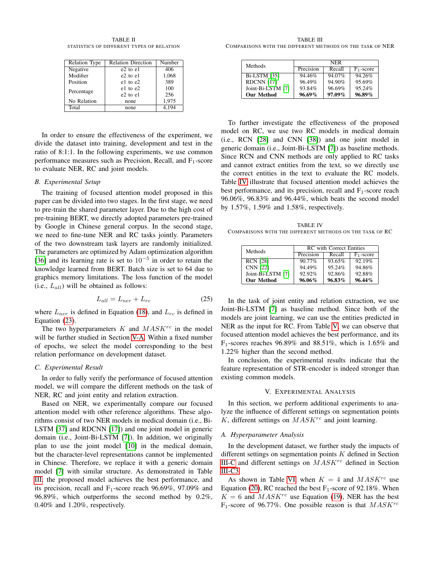<span id="page-5-2"></span>TABLE II STATISTICS OF DIFFERENT TYPES OF RELATION

| Relation Type | <b>Relation Direction</b> | Number |
|---------------|---------------------------|--------|
| Negative      | $e2$ to $e1$              | 406    |
| Modifier      | $e2$ to $e1$              | 1,068  |
| Position      | $e1$ to $e2$              | 389    |
| Percentage    | $e1$ to $e2$              | 100    |
|               | $e2$ to $e1$              | 256    |
| No Relation   | none                      | 1,975  |
| Total         | none                      | 4.194  |

In order to ensure the effectiveness of the experiment, we divide the dataset into training, development and test in the ratio of 8:1:1. In the following experiments, we use common performance measures such as Precision, Recall, and  $F_1$ -score to evaluate NER, RC and joint models.

## *B. Experimental Setup*

The training of focused attention model proposed in this paper can be divided into two stages. In the first stage, we need to pre-train the shared parameter layer. Due to the high cost of pre-training BERT, we directly adopted parameters pre-trained by Google in Chinese general corpus. In the second stage, we need to fine-tune NER and RC tasks jointly. Parameters of the two downstream task layers are randomly initialized. The parameters are optimized by Adam optimization algorithm [\[36\]](#page-7-33) and its learning rate is set to  $10^{-5}$  in order to retain the knowledge learned from BERT. Batch size is set to 64 due to graphics memory limitations. The loss function of the model (i.e.,  $L_{all}$ ) will be obtained as follows:

$$
L_{all} = L_{ner} + L_{rc}
$$
 (25)

where  $L_{ner}$  is defined in Equation [\(18\)](#page-4-2), and  $L_{rc}$  is defined in Equation [\(23\)](#page-4-5).

The two hyperparameters  $K$  and  $MASK^{rc}$  in the model will be further studied in Section [V-A.](#page-5-1) Within a fixed number of epochs, we select the model corresponding to the best relation performance on development dataset.

#### *C. Experimental Result*

In order to fully verify the performance of focused attention model, we will compare the different methods on the task of NER, RC and joint entity and relation extraction.

Based on NER, we experimentally compare our focused attention model with other reference algorithms. These algorithms consist of two NER models in medical domain (i.e., Bi-LSTM [\[37\]](#page-7-34) and RDCNN [\[17\]](#page-7-16)) and one joint model in generic domain (i.e., Joint-Bi-LSTM [\[7\]](#page-7-6)). In addition, we originally plan to use the joint model [\[10\]](#page-7-9) in the medical domain, but the character-level representations cannot be implemented in Chinese. Therefore, we replace it with a generic domain model [\[7\]](#page-7-6) with similar structure. As demonstrated in Table [III,](#page-5-3) the proposed model achieves the best performance, and its precision, recall and  $F_1$ -score reach 96.69%, 97.09% and 96.89%, which outperforms the second method by 0.2%, 0.40% and 1.20%, respectively.

<span id="page-5-3"></span>TABLE III COMPARISONS WITH THE DIFFERENT METHODS ON THE TASK OF NER

| Methods             | <b>NER</b> |           |              |  |  |  |
|---------------------|------------|-----------|--------------|--|--|--|
|                     | Precision  | Recall    | $F_1$ -score |  |  |  |
| <b>Bi-LSTM [35]</b> | 94.46%     | 94.07%    | 94.26%       |  |  |  |
| RDCNN [17]          | 96.49%     | 94.90%    | 95.69%       |  |  |  |
| Joint-Bi-LSTM [7]   | 93.84%     | 96.69%    | 95.24%       |  |  |  |
| <b>Our Method</b>   | $96.69\%$  | $97.09\%$ | $96.89\%$    |  |  |  |

To further investigate the effectiveness of the proposed model on RC, we use two RC models in medical domain (i.e., RCN [\[28\]](#page-7-25) and CNN [\[38\]](#page-7-35)) and one joint model in generic domain (i.e., Joint-Bi-LSTM [\[7\]](#page-7-6)) as baseline methods. Since RCN and CNN methods are only applied to RC tasks and cannot extract entities from the text, so we directly use the correct entities in the text to evaluate the RC models. Table [IV](#page-5-4) illustrate that focused attention model achieves the best performance, and its precision, recall and  $F_1$ -score reach 96.06%, 96.83% and 96.44%, which beats the second model by 1.57%, 1.59% and 1.58%, respectively.

<span id="page-5-4"></span>TABLE IV COMPARISONS WITH THE DIFFERENT METHODS ON THE TASK OF RC

| Methods           | <b>RC</b> with Correct Entities |           |              |  |  |
|-------------------|---------------------------------|-----------|--------------|--|--|
|                   | Precision                       | Recall    | $F_1$ -score |  |  |
| <b>RCN [28]</b>   | $90.77\%$                       | 93.65%    | 92.19%       |  |  |
| <b>CNN [22]</b>   | 94 49%                          | 95.24%    | 94.86%       |  |  |
| Joint-Bi-LSTM [7] | $92.92\%$                       | 92.86%    | 92.88%       |  |  |
| <b>Our Method</b> | $96.06\%$                       | $96.83\%$ | 96.44%       |  |  |

In the task of joint entity and relation extraction, we use Joint-Bi-LSTM [\[7\]](#page-7-6) as baseline method. Since both of the models are joint learning, we can use the entities predicted in NER as the input for RC. From Table [V,](#page-6-1) we can observe that focused attention model achieves the best performance, and its F1-scores reaches 96.89% and 88.51%, which is 1.65% and 1.22% higher than the second method.

In conclusion, the experimental results indicate that the feature representation of STR-encoder is indeed stronger than existing common models.

## V. EXPERIMENTAL ANALYSIS

<span id="page-5-0"></span>In this section, we perform additional experiments to analyze the influence of different settings on segmentation points  $K$ , different settings on  $MASK^{\text{rc}}$  and joint learning.

#### <span id="page-5-1"></span>*A. Hyperparameter Analysis*

In the development dataset, we further study the impacts of different settings on segmentation points K defined in Section [III-C](#page-2-5) and different settings on  $MASK^{\rcc}$  defined in Section [III-C3.](#page-4-7)

As shown in Table [VI,](#page-6-2) when  $K = 4$  and  $MASK^{rc}$  use Equation [\(20\)](#page-4-4), RC reached the best  $F_1$ -score of 92.18%. When  $K = 6$  and  $MASK^{rc}$  use Equation [\(19\)](#page-4-3), NER has the best  $F_1$ -score of 96.77%. One possible reason is that  $MASK^{\text{rc}}$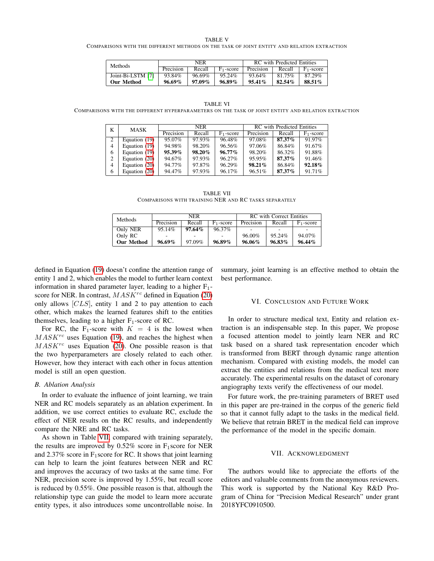TABLE V

<span id="page-6-1"></span>COMPARISONS WITH THE DIFFERENT METHODS ON THE TASK OF JOINT ENTITY AND RELATION EXTRACTION

| <b>Methods</b>    | NER       |        |              | RC with Predicted Entities |        |              |
|-------------------|-----------|--------|--------------|----------------------------|--------|--------------|
|                   | Precision | Recall | $F_1$ -score | Precision                  | Recall | $F_1$ -score |
| Joint-Bi-LSTM [7] | 93.84%    | 96.69% | 95.24%       | 93.64%                     | 81.75% | 87.29%       |
| <b>Our Method</b> | $96.69\%$ | 97.09% | $96.89\%$    | $95.41\%$                  | 82.54% | 88.51%       |

<span id="page-6-2"></span>TABLE VI COMPARISONS WITH THE DIFFERENT HYPERPARAMETERS ON THE TASK OF JOINT ENTITY AND RELATION EXTRACTION

| K | MASK          | <b>NER</b> |           |              | RC with Predicted Entities |        |              |
|---|---------------|------------|-----------|--------------|----------------------------|--------|--------------|
|   |               | Precision  | Recall    | $F_1$ -score | Precision                  | Recall | $F_1$ -score |
| 2 | Equation (19) | 95.07%     | 97.93%    | 96.48%       | 97.08%                     | 87.37% | 91.97%       |
| 4 | Equation (19) | 94.98%     | 98.20%    | 96.56%       | 97.06%                     | 86.84% | 91.67%       |
| 6 | Equation (19) | $95.39\%$  | $98.20\%$ | $96.77\%$    | 98.20%                     | 86.32% | 91.88%       |
|   | Equation (20) | 94.67%     | 97.93%    | 96.27%       | 95.95%                     | 87.37% | 91.46%       |
| 4 | Equation (20) | 94.77%     | 97.87%    | 96.29%       | $98.21\%$                  | 86.84% | 92.18%       |
| 6 | Equation (20) | 94.47%     | 97.93%    | 96.17%       | 96.51%                     | 87.37% | 91.71%       |

TABLE VII COMPARISONS WITH TRAINING NER AND RC TASKS SEPARATELY

| <b>Methods</b>    | NER       |           |              | <b>RC</b> with Correct Entities |        |              |
|-------------------|-----------|-----------|--------------|---------------------------------|--------|--------------|
|                   | Precision | Recall    | $F_1$ -score | Precision                       | Recall | $F_1$ -score |
| Only NER          | 95.14%    | $97.64\%$ | 96.37%       |                                 |        |              |
| Only RC           |           |           |              | 96.00%                          | 95.24% | 94.07%       |
| <b>Our Method</b> | $96.69\%$ | 97.09%    | $96.89\%$    | 96.06%                          | 96.83% | $96.44\%$    |

<span id="page-6-3"></span>defined in Equation [\(19\)](#page-4-3) doesn't confine the attention range of entity 1 and 2, which enables the model to further learn context information in shared parameter layer, leading to a higher  $F_1$ score for NER. In contrast,  $MASK^{rc}$  defined in Equation [\(20\)](#page-4-4) only allows  $[CLS]$ , entity 1 and 2 to pay attention to each other, which makes the learned features shift to the entities themselves, leading to a higher  $F_1$ -score of RC.

For RC, the F<sub>1</sub>-score with  $K = 4$  is the lowest when  $MASK^{rc}$  uses Equation [\(19\)](#page-4-3), and reaches the highest when  $MASK^{rc}$  uses Equation [\(20\)](#page-4-4). One possible reason is that the two hyperparameters are closely related to each other. However, how they interact with each other in focus attention model is still an open question.

## *B. Ablation Analysis*

In order to evaluate the influence of joint learning, we train NER and RC models separately as an ablation experiment. In addition, we use correct entities to evaluate RC, exclude the effect of NER results on the RC results, and independently compare the NRE and RC tasks.

As shown in Table [VII,](#page-6-3) compared with training separately, the results are improved by  $0.52\%$  score in F<sub>1</sub>score for NER and 2.37% score in  $F_1$  score for RC. It shows that joint learning can help to learn the joint features between NER and RC and improves the accuracy of two tasks at the same time. For NER, precision score is improved by 1.55%, but recall score is reduced by 0.55%. One possible reason is that, although the relationship type can guide the model to learn more accurate entity types, it also introduces some uncontrollable noise. In

summary, joint learning is an effective method to obtain the best performance.

#### VI. CONCLUSION AND FUTURE WORK

<span id="page-6-0"></span>In order to structure medical text, Entity and relation extraction is an indispensable step. In this paper, We propose a focused attention model to jointly learn NER and RC task based on a shared task representation encoder which is transformed from BERT through dynamic range attention mechanism. Compared with existing models, the model can extract the entities and relations from the medical text more accurately. The experimental results on the dataset of coronary angiography texts verify the effectiveness of our model.

For future work, the pre-training parameters of BRET used in this paper are pre-trained in the corpus of the generic field so that it cannot fully adapt to the tasks in the medical field. We believe that retrain BRET in the medical field can improve the performance of the model in the specific domain.

#### VII. ACKNOWLEDGMENT

The authors would like to appreciate the efforts of the editors and valuable comments from the anonymous reviewers. This work is supported by the National Key R&D Program of China for "Precision Medical Research" under grant 2018YFC0910500.